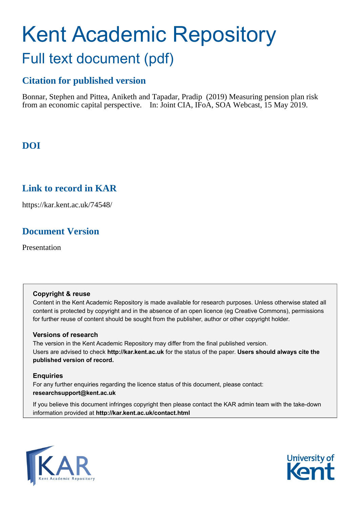# Kent Academic Repository Full text document (pdf)

# **Citation for published version**

Bonnar, Stephen and Pittea, Aniketh and Tapadar, Pradip (2019) Measuring pension plan risk from an economic capital perspective. In: Joint CIA, IFoA, SOA Webcast, 15 May 2019.

# **DOI**

## **Link to record in KAR**

https://kar.kent.ac.uk/74548/

# **Document Version**

Presentation

#### **Copyright & reuse**

Content in the Kent Academic Repository is made available for research purposes. Unless otherwise stated all content is protected by copyright and in the absence of an open licence (eg Creative Commons), permissions for further reuse of content should be sought from the publisher, author or other copyright holder.

#### **Versions of research**

The version in the Kent Academic Repository may differ from the final published version. Users are advised to check **http://kar.kent.ac.uk** for the status of the paper. **Users should always cite the published version of record.**

#### **Enquiries**

For any further enquiries regarding the licence status of this document, please contact: **researchsupport@kent.ac.uk**

If you believe this document infringes copyright then please contact the KAR admin team with the take-down information provided at **http://kar.kent.ac.uk/contact.html**



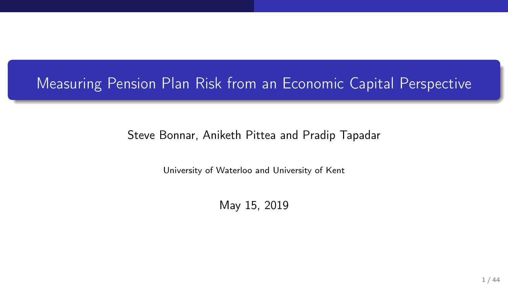## Measuring Pension Plan Risk from an Economic Capital Perspective

#### Steve Bonnar, Aniketh Pittea and Pradip Tapadar

University of Waterloo and University of Kent

May 15, 2019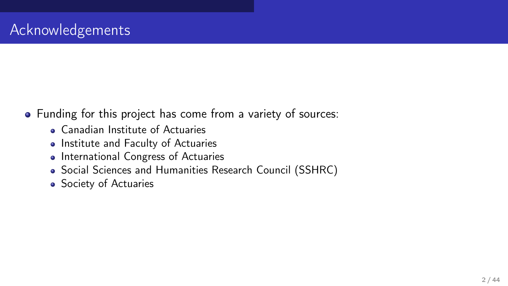- Funding for this project has come from a variety of sources:
	- Canadian Institute of Actuaries
	- Institute and Faculty of Actuaries
	- International Congress of Actuaries
	- Social Sciences and Humanities Research Council (SSHRC)
	- Society of Actuaries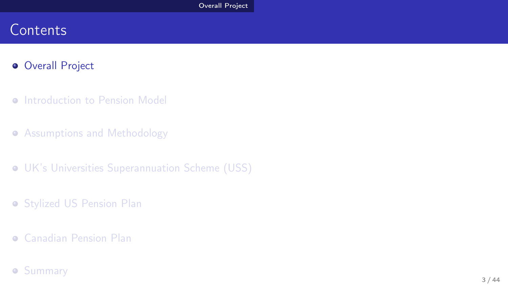#### **Contents**

#### **• Overall Project**

- **Introduction to Pension Model**
- **Assumptions and Methodology**
- UK's Universities Superannuation Scheme (USS)
- **Stylized US Pension Plan**
- Canadian Pension Plan

#### **•** Summary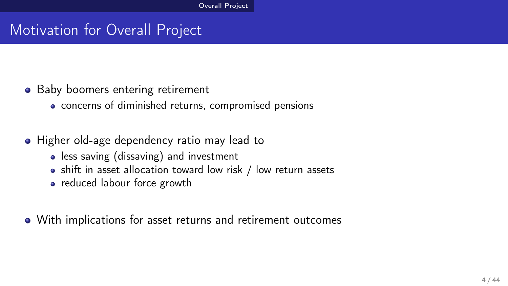#### Motivation for Overall Project

- Baby boomers entering retirement
	- concerns of diminished returns, compromised pensions
- Higher old-age dependency ratio may lead to
	- **•** less saving (dissaving) and investment
	- shift in asset allocation toward low risk / low return assets
	- reduced labour force growth
- With implications for asset returns and retirement outcomes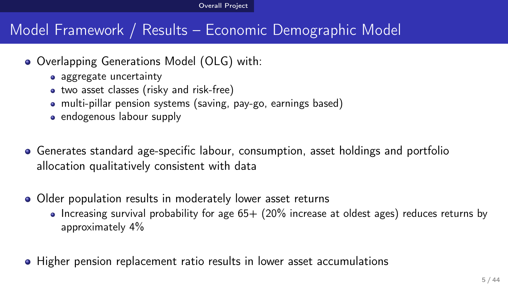## Model Framework / Results – Economic Demographic Model

- Overlapping Generations Model (OLG) with:
	- aggregate uncertainty
	- two asset classes (risky and risk-free)
	- multi-pillar pension systems (saving, pay-go, earnings based)
	- endogenous labour supply
- Generates standard age-specific labour, consumption, asset holdings and portfolio allocation qualitatively consistent with data
- Older population results in moderately lower asset returns
	- $\bullet$  Increasing survival probability for age 65+ (20% increase at oldest ages) reduces returns by approximately 4%
- Higher pension replacement ratio results in lower asset accumulations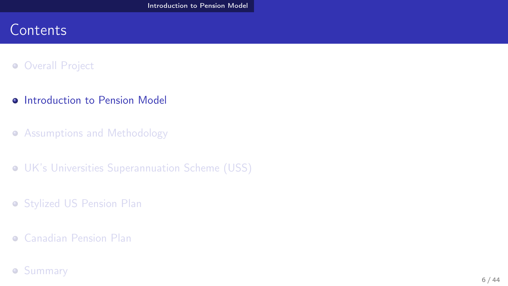#### **Contents**

#### **Overall Project**

- **•** Introduction to Pension Model
- **Assumptions and Methodology**
- UK's Universities Superannuation Scheme (USS)
- **Stylized US Pension Plan**
- Canadian Pension Plan

#### **•** Summary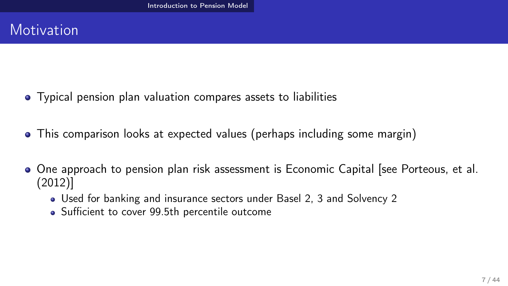#### **Motivation**

- Typical pension plan valuation compares assets to liabilities
- This comparison looks at expected values (perhaps including some margin)
- One approach to pension plan risk assessment is Economic Capital [see Porteous, et al. (2012)]
	- Used for banking and insurance sectors under Basel 2, 3 and Solvency 2
	- Sufficient to cover 99.5th percentile outcome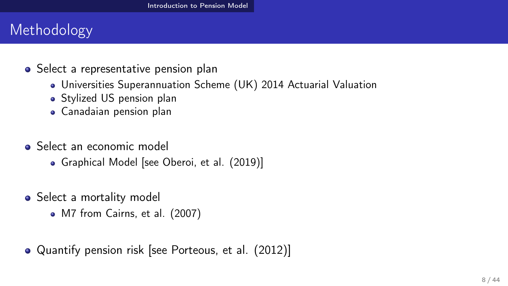## Methodology

- Select a representative pension plan
	- Universities Superannuation Scheme (UK) 2014 Actuarial Valuation
	- Stylized US pension plan
	- Canadaian pension plan
- **Select an economic model** 
	- Graphical Model [see Oberoi, et al. (2019)]
- Select a mortality model
	- M7 from Cairns, et al. (2007)
- Quantify pension risk [see Porteous, et al. (2012)]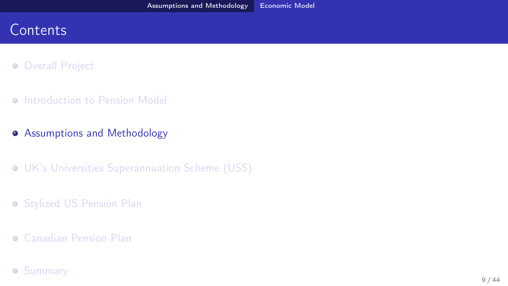#### **Contents**

- **Overall Project**
- **O** Introduction to Pension Model
- **•** Assumptions and Methodology
- UK's Universities Superannuation Scheme (USS)
- **Stylized US Pension Plan**
- Canadian Pension Plan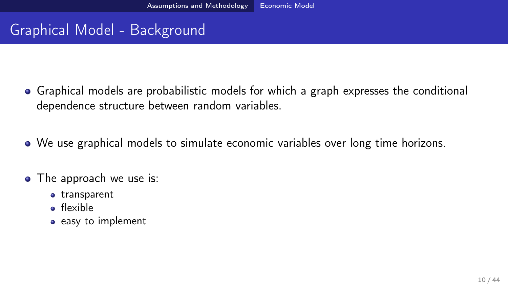## Graphical Model - Background

- Graphical models are probabilistic models for which a graph expresses the conditional dependence structure between random variables.
- We use graphical models to simulate economic variables over long time horizons.
- The approach we use is:
	- **•** transparent
	- **o** flexible
	- easy to implement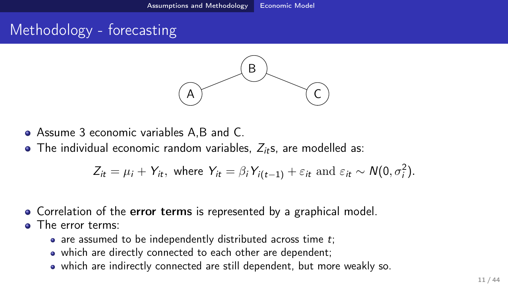## Methodology - forecasting



- Assume 3 economic variables A,B and C.
- $\bullet$  The individual economic random variables,  $Z_{it}$ s, are modelled as:

$$
Z_{it} = \mu_i + Y_{it}, \text{ where } Y_{it} = \beta_i Y_{i(t-1)} + \varepsilon_{it} \text{ and } \varepsilon_{it} \sim N(0, \sigma_i^2).
$$

- Correlation of the error terms is represented by a graphical model.
- **o** The error terms:
	- $\bullet$  are assumed to be independently distributed across time t;
	- which are directly connected to each other are dependent;
	- which are indirectly connected are still dependent, but more weakly so.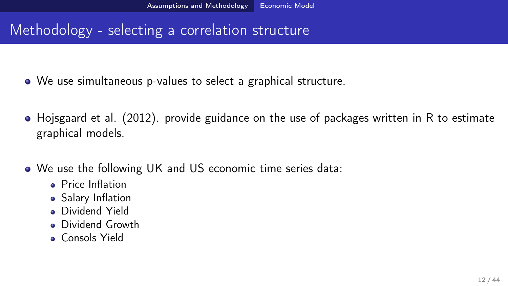#### Methodology - selecting a correlation structure

- We use simultaneous p-values to select a graphical structure.
- Hojsgaard et al. (2012). provide guidance on the use of packages written in R to estimate graphical models.
- We use the following UK and US economic time series data:
	- **Price Inflation**
	- **Salary Inflation**
	- **Dividend Yield**
	- **•** Dividend Growth
	- **Consols Yield**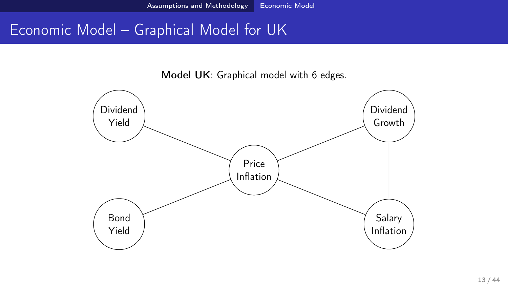#### Economic Model – Graphical Model for UK

Model UK: Graphical model with 6 edges.

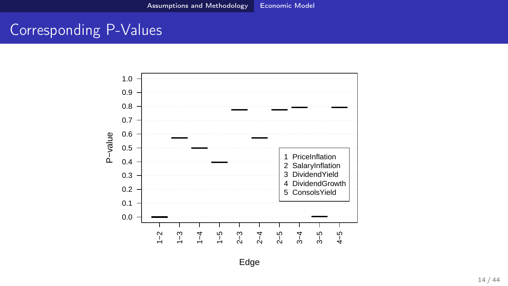#### Corresponding P-Values



Edge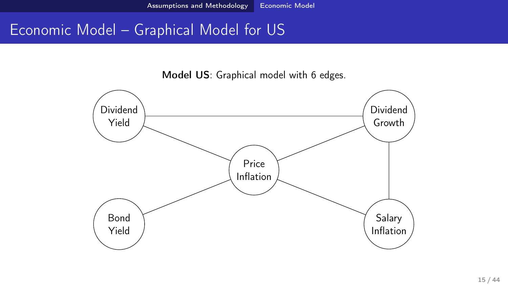#### Economic Model – Graphical Model for US

Model US: Graphical model with 6 edges.

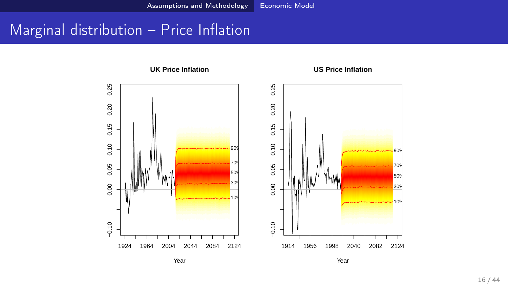#### Marginal distribution – Price Inflation

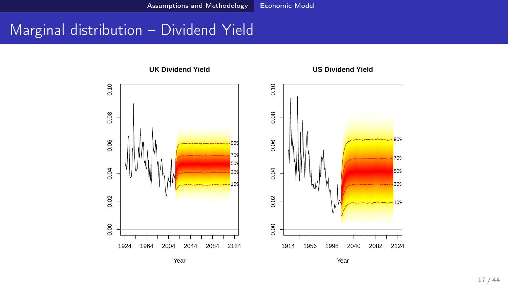#### Marginal distribution – Dividend Yield



Year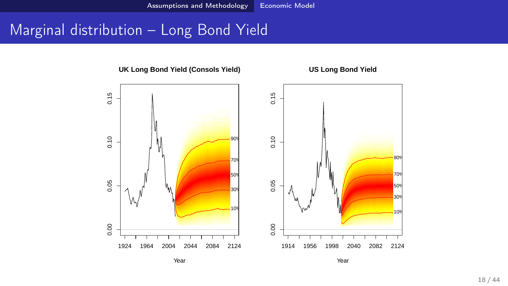#### Marginal distribution – Long Bond Yield



**UK Long Bond Yield (Consols Yield)**

**US Long Bond Yield**

Year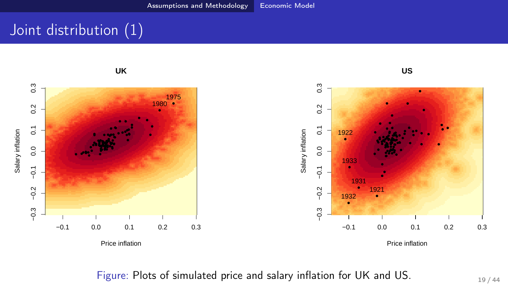## Joint distribution (1)



Figure: Plots of simulated price and salary inflation for UK and US.  $19/44$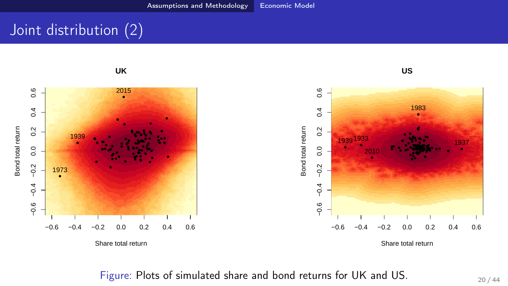## Joint distribution (2)

**UK**



**US**



Figure: Plots of simulated share and bond returns for UK and US. 20/44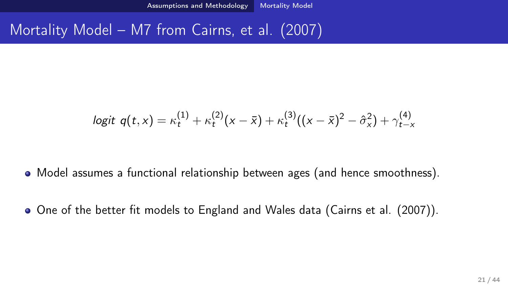#### Mortality Model – M7 from Cairns, et al. (2007)

$$
logit \, q(t,x) = \kappa_t^{(1)} + \kappa_t^{(2)}(x-\bar{x}) + \kappa_t^{(3)}((x-\bar{x})^2 - \hat{\sigma}_x^2) + \gamma_{t-x}^{(4)}
$$

- Model assumes a functional relationship between ages (and hence smoothness).
- One of the better fit models to England and Wales data (Cairns et al. (2007)).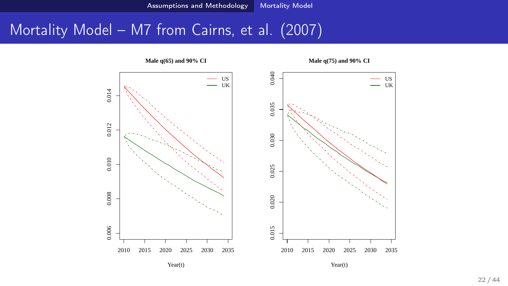#### Mortality Model - M7 from Cairns, et al. (2007)



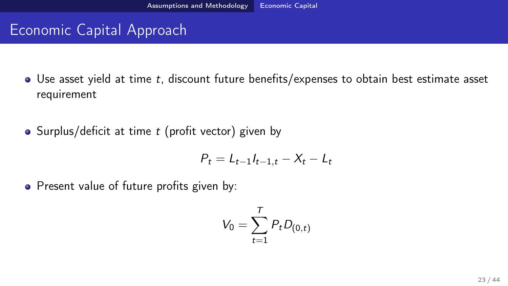#### Economic Capital Approach

- Use asset yield at time t, discount future benefits/expenses to obtain best estimate asset requirement
- Surplus/deficit at time  $t$  (profit vector) given by

$$
P_t = L_{t-1}I_{t-1,t} - X_t - L_t
$$

• Present value of future profits given by:

$$
V_0=\sum_{t=1}^T P_tD_{(0,t)}
$$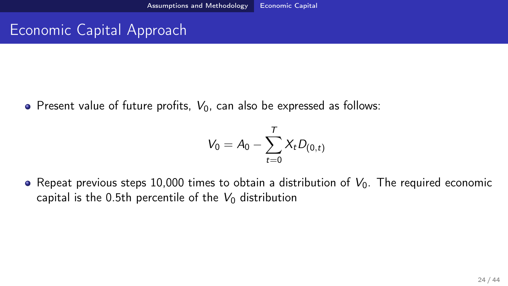#### Economic Capital Approach

• Present value of future profits,  $V_0$ , can also be expressed as follows:

$$
V_0 = A_0 - \sum_{t=0}^T X_t D_{(0,t)}
$$

• Repeat previous steps 10,000 times to obtain a distribution of  $V_0$ . The required economic capital is the 0.5th percentile of the  $V_0$  distribution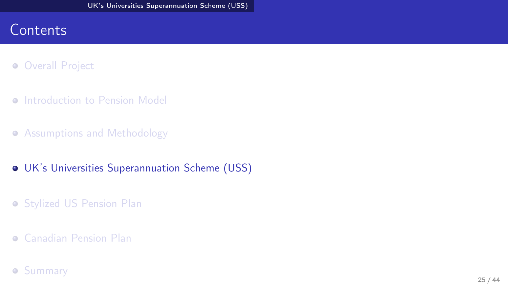#### **Contents**

- **Overall Project**
- **O** Introduction to Pension Model
- **Assumptions and Methodology**
- UK's Universities Superannuation Scheme (USS)
- **Stylized US Pension Plan**
- Canadian Pension Plan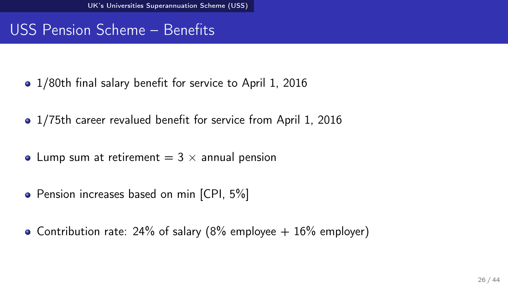## USS Pension Scheme – Benefits

- 1/80th final salary benefit for service to April 1, 2016
- 1/75th career revalued benefit for service from April 1, 2016
- Lump sum at retirement  $= 3 \times$  annual pension
- Pension increases based on min [CPI, 5%]
- Contribution rate: 24% of salary (8% employee  $+$  16% employer)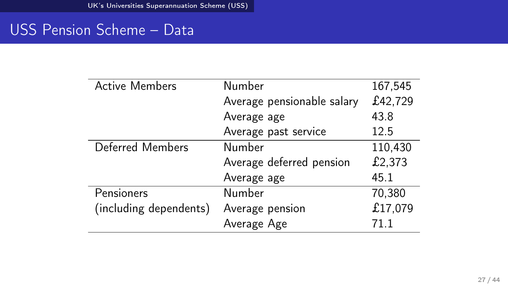## USS Pension Scheme – Data

| <b>Active Members</b>  | Number                     | 167,545 |
|------------------------|----------------------------|---------|
|                        | Average pensionable salary | £42,729 |
|                        | Average age                | 43.8    |
|                        | Average past service       | 12.5    |
| Deferred Members       | Number                     | 110,430 |
|                        | Average deferred pension   | £2,373  |
|                        | Average age                | 45.1    |
| Pensioners             | Number                     | 70,380  |
| (including dependents) | Average pension            | £17,079 |
|                        | Average Age                | 71 1    |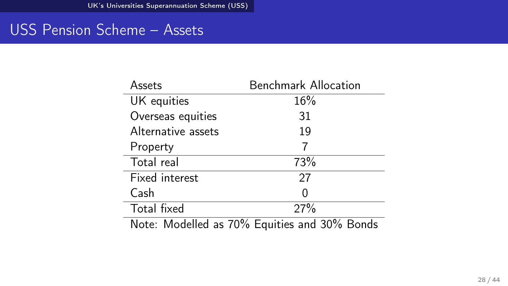#### USS Pension Scheme - Assets

| Assets             | <b>Benchmark Allocation</b>                  |  |
|--------------------|----------------------------------------------|--|
| UK equities        | 16%                                          |  |
| Overseas equities  | 31                                           |  |
| Alternative assets | 19                                           |  |
| Property           | 7                                            |  |
| Total real         | 73%                                          |  |
| Fixed interest     | 27                                           |  |
| Cash               | Ω                                            |  |
| Total fixed        | 27%                                          |  |
|                    | Note: Modelled as 70% Equities and 30% Bonds |  |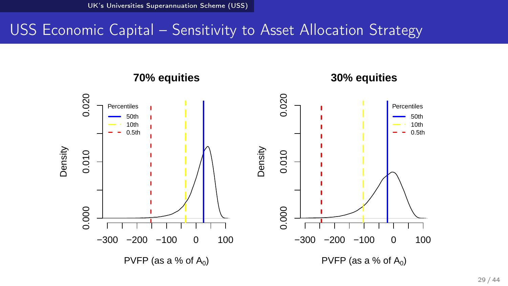#### USS Economic Capital – Sensitivity to Asset Allocation Strategy

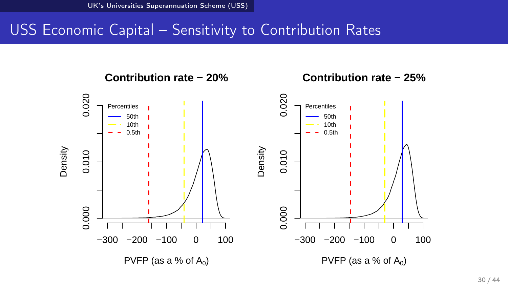#### USS Economic Capital – Sensitivity to Contribution Rates



**Contribution rate − 20%**

**Contribution rate − 25%**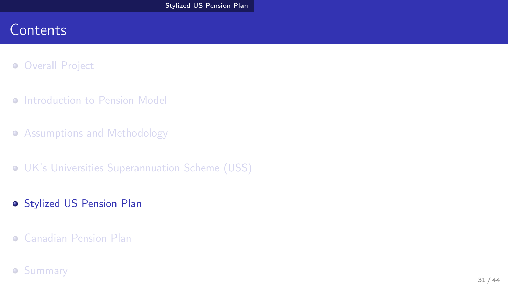#### **Contents**

- **Overall Project**
- **O** Introduction to Pension Model
- **Assumptions and Methodology**
- UK's Universities Superannuation Scheme (USS)
- **Stylized US Pension Plan**
- Canadian Pension Plan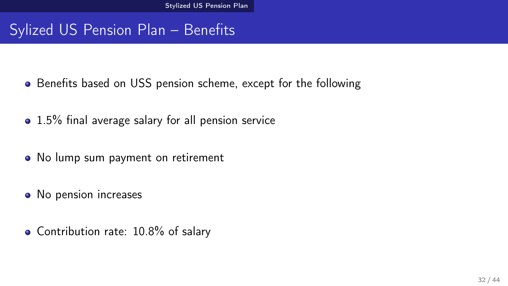## Sylized US Pension Plan – Benefits

- Benefits based on USS pension scheme, except for the following
- 1.5% final average salary for all pension service
- No lump sum payment on retirement
- No pension increases
- Contribution rate: 10.8% of salary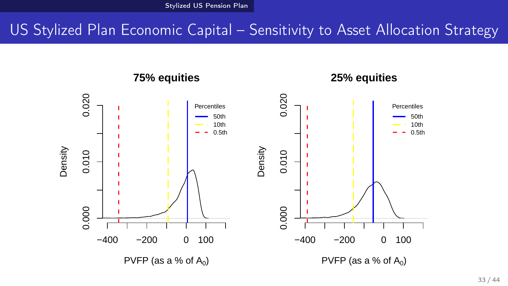#### US Stylized Plan Economic Capital – Sensitivity to Asset Allocation Strategy



**25% equities**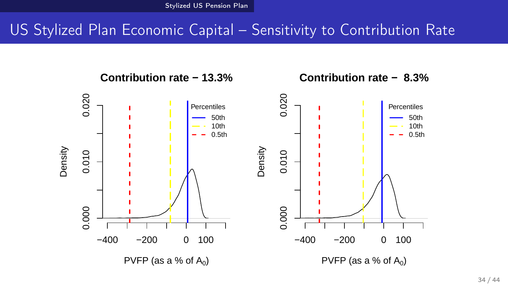**Contribution rate − 13.3%**

## US Stylized Plan Economic Capital – Sensitivity to Contribution Rate



**Contribution rate − 8.3%**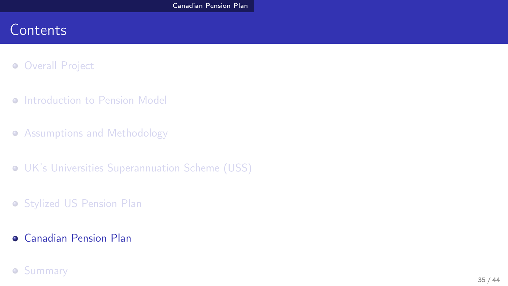#### **Contents**

- **Overall Project**
- **O** Introduction to Pension Model
- **Assumptions and Methodology**
- UK's Universities Superannuation Scheme (USS)
- **Stylized US Pension Plan**
- Canadian Pension Plan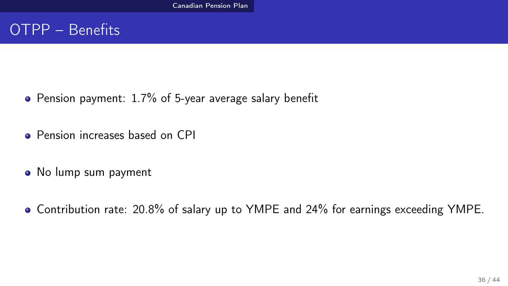#### OTPP – Benefits

- Pension payment: 1.7% of 5-year average salary benefit
- **•** Pension increases based on CPI
- No lump sum payment
- Contribution rate: 20.8% of salary up to YMPE and 24% for earnings exceeding YMPE.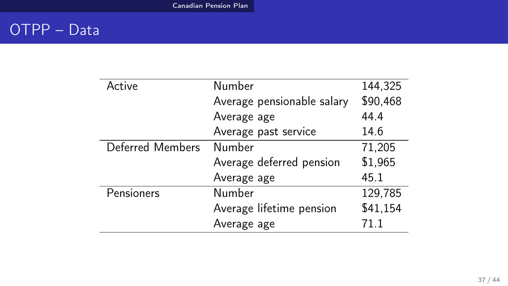## OTPP – Data

| Active           | Number                     | 144,325  |
|------------------|----------------------------|----------|
|                  | Average pensionable salary | \$90,468 |
|                  | Average age                | 44.4     |
|                  | Average past service       | 14.6     |
| Deferred Members | Number                     | 71,205   |
|                  | Average deferred pension   | \$1,965  |
|                  | Average age                | 45.1     |
| Pensioners       | <b>Number</b>              | 129,785  |
|                  | Average lifetime pension   | \$41,154 |
|                  | Average age                | 71 1     |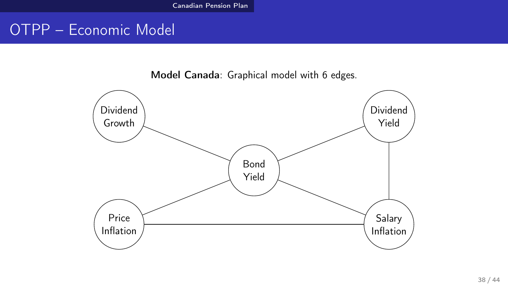#### OTPP – Economic Model

Model Canada: Graphical model with 6 edges.

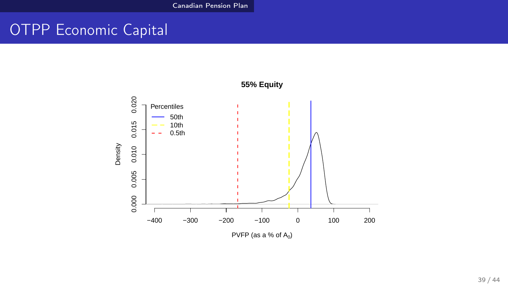#### OTPP Economic Capital

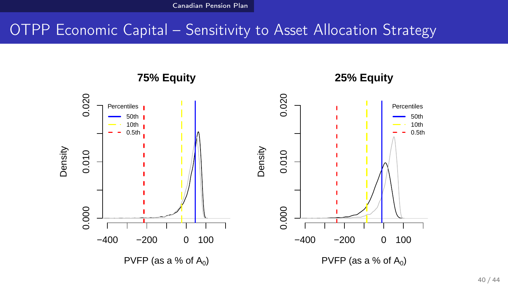#### OTPP Economic Capital – Sensitivity to Asset Allocation Strategy

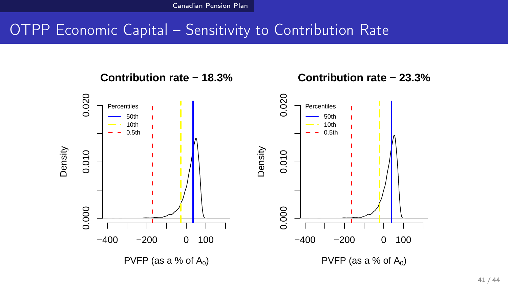## OTPP Economic Capital – Sensitivity to Contribution Rate

0.020 0.020 0.000 0.010 0.020 0.000 0.010 0.020 Percentiles Percentiles 50th 50th 10th 10th 0.5th 0.5th Density Density 0.010 0.010 0.000 0.000 −400 −200 0 100 −400 −200 0 100 PVFP (as a % of  $A_0$ ) PVFP (as a % of  $A_0$ )

**Contribution rate − 18.3%**

**Contribution rate − 23.3%**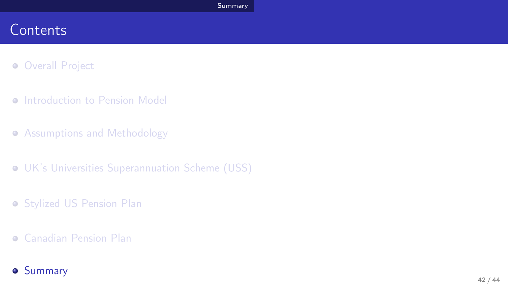#### **Contents**

- **Overall Project**
- **Introduction to Pension Model**
- **Assumptions and Methodology**
- UK's Universities Superannuation Scheme (USS)
- **Stylized US Pension Plan**
- Canadian Pension Plan
- **o** Summary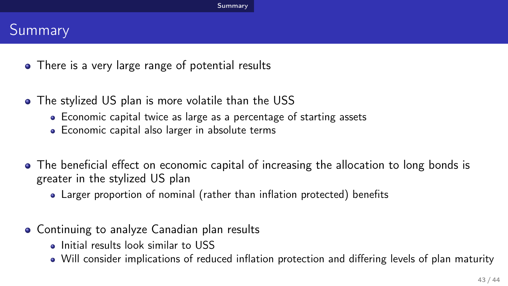#### Summary

- There is a very large range of potential results
- The stylized US plan is more volatile than the USS
	- Economic capital twice as large as a percentage of starting assets
	- Economic capital also larger in absolute terms
- The beneficial effect on economic capital of increasing the allocation to long bonds is greater in the stylized US plan
	- Larger proportion of nominal (rather than inflation protected) benefits
- Continuing to analyze Canadian plan results
	- **.** Initial results look similar to USS
	- Will consider implications of reduced inflation protection and differing levels of plan maturity